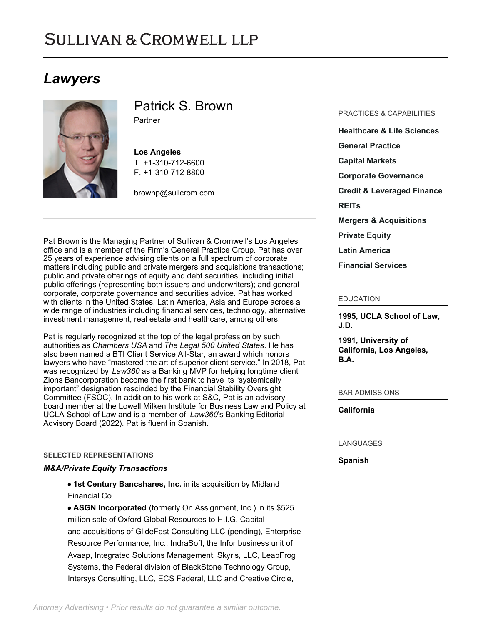# **SULLIVAN & CROMWELL LLP**

## *Lawyers*



Patrick S. Brown Partner

**Los Angeles** T. [+1-310-712-6600](tel:+1-310-712-6600) F. [+1-310-712-8800](tel:+1-310-712-8800)

[brownp@sullcrom.com](https://www.sullcrom.com/email-disclaimer?profsid=lawyers/PatrickS-Brown)

Pat Brown is the Managing Partner of Sullivan & Cromwell's Los Angeles office and is a member of the Firm's General Practice Group. Pat has over 25 years of experience advising clients on a full spectrum of corporate matters including public and private mergers and acquisitions transactions; public and private offerings of equity and debt securities, including initial public offerings (representing both issuers and underwriters); and general corporate, corporate governance and securities advice. Pat has worked with clients in the United States, Latin America, Asia and Europe across a wide range of industries including financial services, technology, alternative investment management, real estate and healthcare, among others.

Pat is regularly recognized at the top of the legal profession by such authorities as *Chambers USA* and *The Legal 500 United States*. He has also been named a BTI Client Service All-Star, an award which honors lawyers who have "mastered the art of superior client service." In 2018, Pat was recognized by *Law360* as a Banking MVP for helping longtime client Zions Bancorporation become the first bank to have its "systemically important" designation rescinded by the Financial Stability Oversight Committee (FSOC). In addition to his work at S&C, Pat is an advisory board member at the Lowell Milken Institute for Business Law and Policy at UCLA School of Law and is a member of *Law360*'s Banking Editorial Advisory Board (2022). Pat is fluent in Spanish.

### **SELECTED REPRESENTATIONS**

### *M&A/Private Equity Transactions*

**1st Century Bancshares, Inc.** in its acquisition by Midland Financial Co.

**ASGN Incorporated** (formerly On Assignment, Inc.) in its \$525 million sale of Oxford Global Resources to H.I.G. Capital and acquisitions of GlideFast Consulting LLC (pending), Enterprise Resource Performance, Inc., IndraSoft, the Infor business unit of Avaap, Integrated Solutions Management, Skyris, LLC, LeapFrog Systems, the Federal division of BlackStone Technology Group, Intersys Consulting, LLC, ECS Federal, LLC and Creative Circle,

### PRACTICES & CAPABILITIES

**[Healthcare & Life Sciences](https://www.sullcrom.com/Healthcare-and-Life-Sciences-Practices) [General Practice](https://www.sullcrom.com/general-practice) [Capital Markets](https://www.sullcrom.com/capital-markets-practice) [Corporate Governance](https://www.sullcrom.com/Corporate-Governance-Practice) [Credit & Leveraged Finance](https://www.sullcrom.com/credit-and-leveraged-finance) [REITs](https://www.sullcrom.com/commercialrealestate-reits) [Mergers & Acquisitions](https://www.sullcrom.com/Mergers--Acquisitions-Practices) [Private Equity](https://www.sullcrom.com/Private-Equity-Practices) [Latin America](https://www.sullcrom.com/latin-america) [Financial Services](https://www.sullcrom.com/financial-services-redirect)**

#### EDUCATION

**1995, UCLA School of Law, J.D.** 

**1991, University of California, Los Angeles, B.A.** 

BAR ADMISSIONS

**California** 

### LANGUAGES

**Spanish**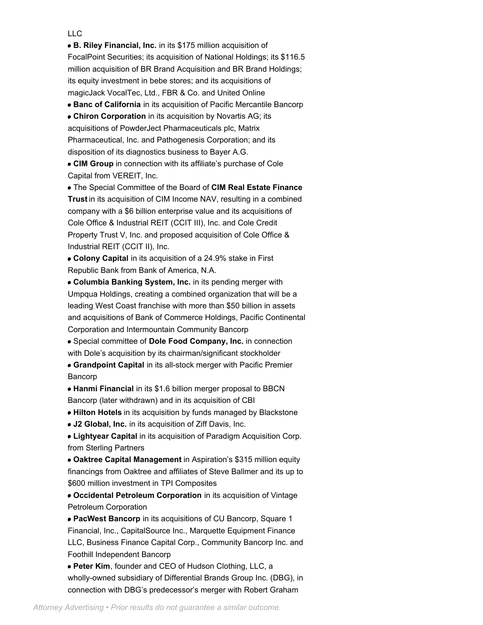### LLC

**B. Riley Financial, Inc.** in its \$175 million acquisition of FocalPoint Securities; its acquisition of National Holdings; its \$116.5 million acquisition of BR Brand Acquisition and BR Brand Holdings; its equity investment in bebe stores; and its acquisitions of magicJack VocalTec, Ltd., FBR & Co. and United Online

**Banc of California** in its acquisition of Pacific Mercantile Bancorp

**Chiron Corporation** in its acquisition by Novartis AG; its acquisitions of PowderJect Pharmaceuticals plc, Matrix Pharmaceutical, Inc. and Pathogenesis Corporation; and its disposition of its diagnostics business to Bayer A.G.

**CIM Group** in connection with its affiliate's purchase of Cole Capital from VEREIT, Inc.

The Special Committee of the Board of **CIM Real Estate Finance Trust** in its acquisition of CIM Income NAV, resulting in a combined company with a \$6 billion enterprise value and its acquisitions of Cole Office & Industrial REIT (CCIT III), Inc. and Cole Credit Property Trust V, Inc. and proposed acquisition of Cole Office & Industrial REIT (CCIT II), Inc.

**Colony Capital** in its acquisition of a 24.9% stake in First Republic Bank from Bank of America, N.A.

**Columbia Banking System, Inc.** in its pending merger with Umpqua Holdings, creating a combined organization that will be a leading West Coast franchise with more than \$50 billion in assets and acquisitions of Bank of Commerce Holdings, Pacific Continental Corporation and Intermountain Community Bancorp

Special committee of **Dole Food Company, Inc.** in connection with Dole's acquisition by its chairman/significant stockholder

**Grandpoint Capital** in its all-stock merger with Pacific Premier Bancorp

**Hanmi Financial** in its \$1.6 billion merger proposal to BBCN Bancorp (later withdrawn) and in its acquisition of CBI

**Hilton Hotels** in its acquisition by funds managed by Blackstone

**J2 Global, Inc.** in its acquisition of Ziff Davis, Inc.

**Lightyear Capital** in its acquisition of Paradigm Acquisition Corp. from Sterling Partners

**Oaktree Capital Management** in Aspiration's \$315 million equity financings from Oaktree and affiliates of Steve Ballmer and its up to \$600 million investment in TPI Composites

**Occidental Petroleum Corporation** in its acquisition of Vintage Petroleum Corporation

**PacWest Bancorp** in its acquisitions of CU Bancorp, Square 1 Financial, Inc., CapitalSource Inc., Marquette Equipment Finance LLC, Business Finance Capital Corp., Community Bancorp Inc. and Foothill Independent Bancorp

**Peter Kim**, founder and CEO of Hudson Clothing, LLC, a wholly-owned subsidiary of Differential Brands Group Inc. (DBG), in connection with DBG's predecessor's merger with Robert Graham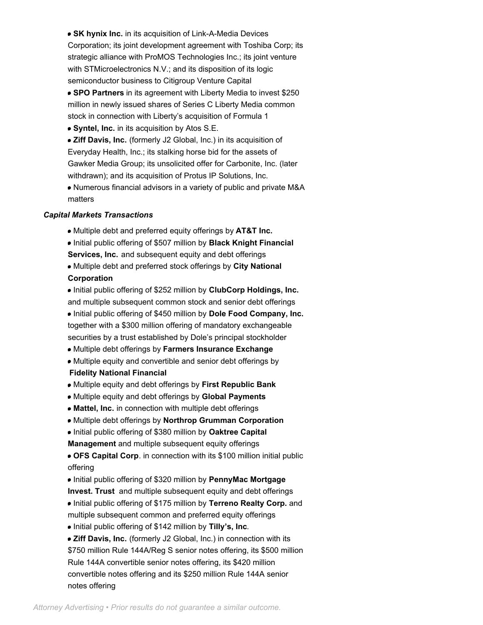**SK hynix Inc.** in its acquisition of Link-A-Media Devices Corporation; its joint development agreement with Toshiba Corp; its strategic alliance with ProMOS Technologies Inc.; its joint venture with STMicroelectronics N.V.; and its disposition of its logic semiconductor business to Citigroup Venture Capital

- **SPO Partners** in its agreement with Liberty Media to invest \$250 million in newly issued shares of Series C Liberty Media common stock in connection with Liberty's acquisition of Formula 1
- **Syntel, Inc.** in its acquisition by Atos S.E.

**Ziff Davis, Inc.** (formerly J2 Global, Inc.) in its acquisition of Everyday Health, Inc.; its stalking horse bid for the assets of Gawker Media Group; its unsolicited offer for Carbonite, Inc. (later withdrawn); and its acquisition of Protus IP Solutions, Inc.

Numerous financial advisors in a variety of public and private M&A matters

### *Capital Markets Transactions*

- Multiple debt and preferred equity offerings by **AT&T Inc.**
- Initial public offering of \$507 million by **Black Knight Financial Services, Inc.** and subsequent equity and debt offerings
- Multiple debt and preferred stock offerings by **City National Corporation**
- Initial public offering of \$252 million by **ClubCorp Holdings, Inc.** and multiple subsequent common stock and senior debt offerings Initial public offering of \$450 million by **Dole Food Company, Inc.** together with a \$300 million offering of mandatory exchangeable securities by a trust established by Dole's principal stockholder
- Multiple debt offerings by **Farmers Insurance Exchange**
- Multiple equity and convertible and senior debt offerings by **Fidelity National Financial**
- Multiple equity and debt offerings by **First Republic Bank**
- Multiple equity and debt offerings by **Global Payments**
- **Mattel, Inc.** in connection with multiple debt offerings
- Multiple debt offerings by **Northrop Grumman Corporation**
- Initial public offering of \$380 million by **Oaktree Capital**
- **Management** and multiple subsequent equity offerings
- **OFS Capital Corp**. in connection with its \$100 million initial public offering
- Initial public offering of \$320 million by **PennyMac Mortgage Invest. Trust** and multiple subsequent equity and debt offerings
- Initial public offering of \$175 million by **Terreno Realty Corp.** and multiple subsequent common and preferred equity offerings
- Initial public offering of \$142 million by **Tilly's, Inc**.
- *Ziff Davis, Inc. (formerly J2 Global, Inc.) in connection with its* \$750 million Rule 144A/Reg S senior notes offering, its \$500 million Rule 144A convertible senior notes offering, its \$420 million convertible notes offering and its \$250 million Rule 144A senior notes offering